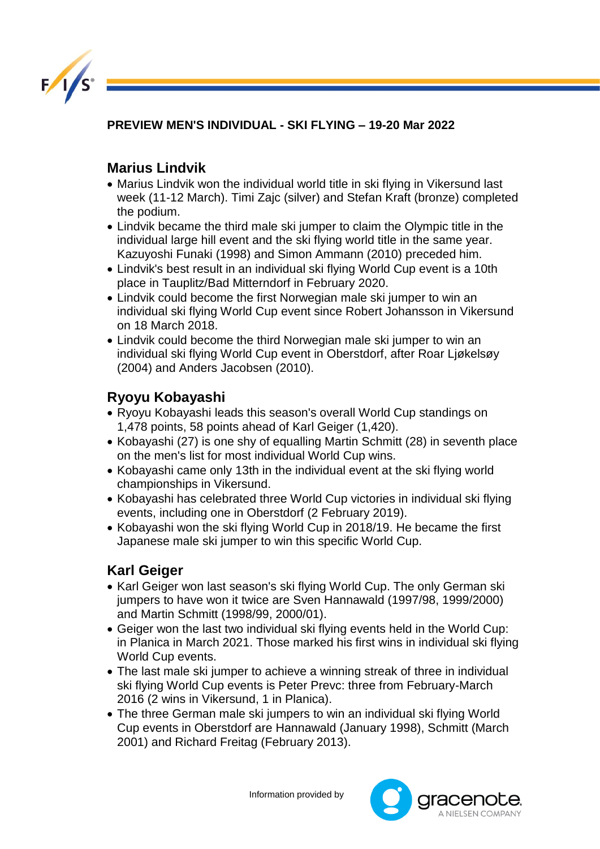

**PREVIEW MEN'S INDIVIDUAL - SKI FLYING – 19-20 Mar 2022**

## **Marius Lindvik**

- Marius Lindvik won the individual world title in ski flying in Vikersund last week (11-12 March). Timi Zajc (silver) and Stefan Kraft (bronze) completed the podium.
- Lindvik became the third male ski jumper to claim the Olympic title in the individual large hill event and the ski flying world title in the same year. Kazuyoshi Funaki (1998) and Simon Ammann (2010) preceded him.
- Lindvik's best result in an individual ski flying World Cup event is a 10th place in Tauplitz/Bad Mitterndorf in February 2020.
- Lindvik could become the first Norwegian male ski jumper to win an individual ski flying World Cup event since Robert Johansson in Vikersund on 18 March 2018.
- Lindvik could become the third Norwegian male ski jumper to win an individual ski flying World Cup event in Oberstdorf, after Roar Ljøkelsøy (2004) and Anders Jacobsen (2010).

## **Ryoyu Kobayashi**

- Ryoyu Kobayashi leads this season's overall World Cup standings on 1,478 points, 58 points ahead of Karl Geiger (1,420).
- Kobayashi (27) is one shy of equalling Martin Schmitt (28) in seventh place on the men's list for most individual World Cup wins.
- Kobayashi came only 13th in the individual event at the ski flying world championships in Vikersund.
- Kobayashi has celebrated three World Cup victories in individual ski flying events, including one in Oberstdorf (2 February 2019).
- Kobayashi won the ski flying World Cup in 2018/19. He became the first Japanese male ski jumper to win this specific World Cup.

## **Karl Geiger**

- Karl Geiger won last season's ski flying World Cup. The only German ski jumpers to have won it twice are Sven Hannawald (1997/98, 1999/2000) and Martin Schmitt (1998/99, 2000/01).
- Geiger won the last two individual ski flying events held in the World Cup: in Planica in March 2021. Those marked his first wins in individual ski flying World Cup events.
- The last male ski jumper to achieve a winning streak of three in individual ski flying World Cup events is Peter Prevc: three from February-March 2016 (2 wins in Vikersund, 1 in Planica).
- The three German male ski jumpers to win an individual ski flying World Cup events in Oberstdorf are Hannawald (January 1998), Schmitt (March 2001) and Richard Freitag (February 2013).

Information provided by